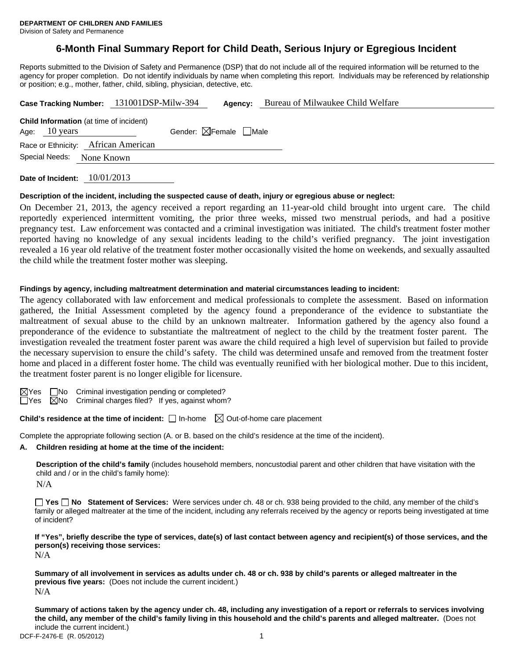# **6-Month Final Summary Report for Child Death, Serious Injury or Egregious Incident**

Reports submitted to the Division of Safety and Permanence (DSP) that do not include all of the required information will be returned to the agency for proper completion. Do not identify individuals by name when completing this report. Individuals may be referenced by relationship or position; e.g., mother, father, child, sibling, physician, detective, etc.

| Case Tracking Number: 131001DSP-Milw-394                                  |            |  | Agency:                                | Bureau of Milwaukee Child Welfare |
|---------------------------------------------------------------------------|------------|--|----------------------------------------|-----------------------------------|
| <b>Child Information</b> (at time of incident)<br>Age: $10 \text{ years}$ |            |  | Gender: $\boxtimes$ Female $\Box$ Male |                                   |
| Race or Ethnicity: African American                                       |            |  |                                        |                                   |
| Special Needs:                                                            | None Known |  |                                        |                                   |
|                                                                           |            |  |                                        |                                   |

**Date of Incident:** 10/01/2013

#### **Description of the incident, including the suspected cause of death, injury or egregious abuse or neglect:**

On December 21, 2013, the agency received a report regarding an 11-year-old child brought into urgent care. The child reportedly experienced intermittent vomiting, the prior three weeks, missed two menstrual periods, and had a positive pregnancy test. Law enforcement was contacted and a criminal investigation was initiated. The child's treatment foster mother reported having no knowledge of any sexual incidents leading to the child's verified pregnancy. The joint investigation revealed a 16 year old relative of the treatment foster mother occasionally visited the home on weekends, and sexually assaulted the child while the treatment foster mother was sleeping.

#### **Findings by agency, including maltreatment determination and material circumstances leading to incident:**

The agency collaborated with law enforcement and medical professionals to complete the assessment. Based on information gathered, the Initial Assessment completed by the agency found a preponderance of the evidence to substantiate the maltreatment of sexual abuse to the child by an unknown maltreater. Information gathered by the agency also found a preponderance of the evidence to substantiate the maltreatment of neglect to the child by the treatment foster parent. The investigation revealed the treatment foster parent was aware the child required a high level of supervision but failed to provide the necessary supervision to ensure the child's safety. The child was determined unsafe and removed from the treatment foster home and placed in a different foster home. The child was eventually reunified with her biological mother. Due to this incident, the treatment foster parent is no longer eligible for licensure.

 $\boxtimes$ Yes  $\Box$ No Criminal investigation pending or completed?

 $\Box$ Yes  $\Box$ No Criminal charges filed? If yes, against whom?

**Child's residence at the time of incident:**  $\Box$  In-home  $\Box$  Out-of-home care placement

Complete the appropriate following section (A. or B. based on the child's residence at the time of the incident).

**A. Children residing at home at the time of the incident:**

**Description of the child's family** (includes household members, noncustodial parent and other children that have visitation with the child and / or in the child's family home):

 $N/A$ 

**Yes No Statement of Services:** Were services under ch. 48 or ch. 938 being provided to the child, any member of the child's family or alleged maltreater at the time of the incident, including any referrals received by the agency or reports being investigated at time of incident?

**If "Yes", briefly describe the type of services, date(s) of last contact between agency and recipient(s) of those services, and the person(s) receiving those services:**  N/A

**Summary of all involvement in services as adults under ch. 48 or ch. 938 by child's parents or alleged maltreater in the previous five years:** (Does not include the current incident.) N/A

DCF-F-2476-E (R. 05/2012) 1 **Summary of actions taken by the agency under ch. 48, including any investigation of a report or referrals to services involving the child, any member of the child's family living in this household and the child's parents and alleged maltreater.** (Does not include the current incident.)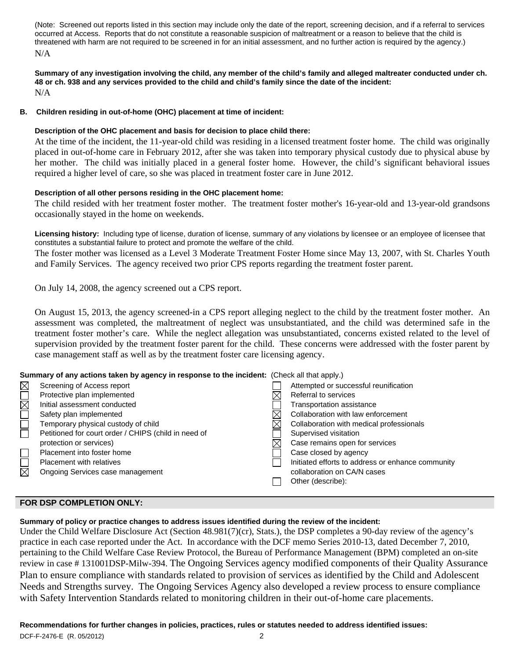(Note: Screened out reports listed in this section may include only the date of the report, screening decision, and if a referral to services occurred at Access. Reports that do not constitute a reasonable suspicion of maltreatment or a reason to believe that the child is threatened with harm are not required to be screened in for an initial assessment, and no further action is required by the agency.) N/A

**Summary of any investigation involving the child, any member of the child's family and alleged maltreater conducted under ch. 48 or ch. 938 and any services provided to the child and child's family since the date of the incident:**  N/A

# **B. Children residing in out-of-home (OHC) placement at time of incident:**

# **Description of the OHC placement and basis for decision to place child there:**

At the time of the incident, the 11-year-old child was residing in a licensed treatment foster home. The child was originally placed in out-of-home care in February 2012, after she was taken into temporary physical custody due to physical abuse by her mother. The child was initially placed in a general foster home. However, the child's significant behavioral issues required a higher level of care, so she was placed in treatment foster care in June 2012.

# **Description of all other persons residing in the OHC placement home:**

The child resided with her treatment foster mother. The treatment foster mother's 16-year-old and 13-year-old grandsons occasionally stayed in the home on weekends.

**Licensing history:** Including type of license, duration of license, summary of any violations by licensee or an employee of licensee that constitutes a substantial failure to protect and promote the welfare of the child.

The foster mother was licensed as a Level 3 Moderate Treatment Foster Home since May 13, 2007, with St. Charles Youth and Family Services. The agency received two prior CPS reports regarding the treatment foster parent.

On July 14, 2008, the agency screened out a CPS report.

On August 15, 2013, the agency screened-in a CPS report alleging neglect to the child by the treatment foster mother. An assessment was completed, the maltreatment of neglect was unsubstantiated, and the child was determined safe in the treatment foster mother's care. While the neglect allegation was unsubstantiated, concerns existed related to the level of supervision provided by the treatment foster parent for the child. These concerns were addressed with the foster parent by case management staff as well as by the treatment foster care licensing agency.

## **Summary of any actions taken by agency in response to the incident:** (Check all that apply.)

| $\boxtimes$ | Screening of Access report                           | Attempted or successful reunification             |
|-------------|------------------------------------------------------|---------------------------------------------------|
|             | Protective plan implemented                          | Referral to services                              |
| $\boxtimes$ | Initial assessment conducted                         | Transportation assistance                         |
|             | Safety plan implemented                              | Collaboration with law enforcement                |
|             | Temporary physical custody of child                  | Collaboration with medical professionals          |
| $\Box$      | Petitioned for court order / CHIPS (child in need of | Supervised visitation                             |
|             | protection or services)                              | Case remains open for services                    |
|             | Placement into foster home                           | Case closed by agency                             |
| $\Box$      | <b>Placement with relatives</b>                      | Initiated efforts to address or enhance community |
|             | Ongoing Services case management                     | collaboration on CA/N cases                       |
|             |                                                      | Other (describe):                                 |
|             |                                                      |                                                   |

## **FOR DSP COMPLETION ONLY:**

# **Summary of policy or practice changes to address issues identified during the review of the incident:**

Under the Child Welfare Disclosure Act (Section 48.981(7)(cr), Stats.), the DSP completes a 90-day review of the agency's practice in each case reported under the Act. In accordance with the DCF memo Series 2010-13, dated December 7, 2010, pertaining to the Child Welfare Case Review Protocol, the Bureau of Performance Management (BPM) completed an on-site review in case # 131001DSP-Milw-394. The Ongoing Services agency modified components of their Quality Assurance Plan to ensure compliance with standards related to provision of services as identified by the Child and Adolescent Needs and Strengths survey. The Ongoing Services Agency also developed a review process to ensure compliance with Safety Intervention Standards related to monitoring children in their out-of-home care placements.

## **Recommendations for further changes in policies, practices, rules or statutes needed to address identified issues:**